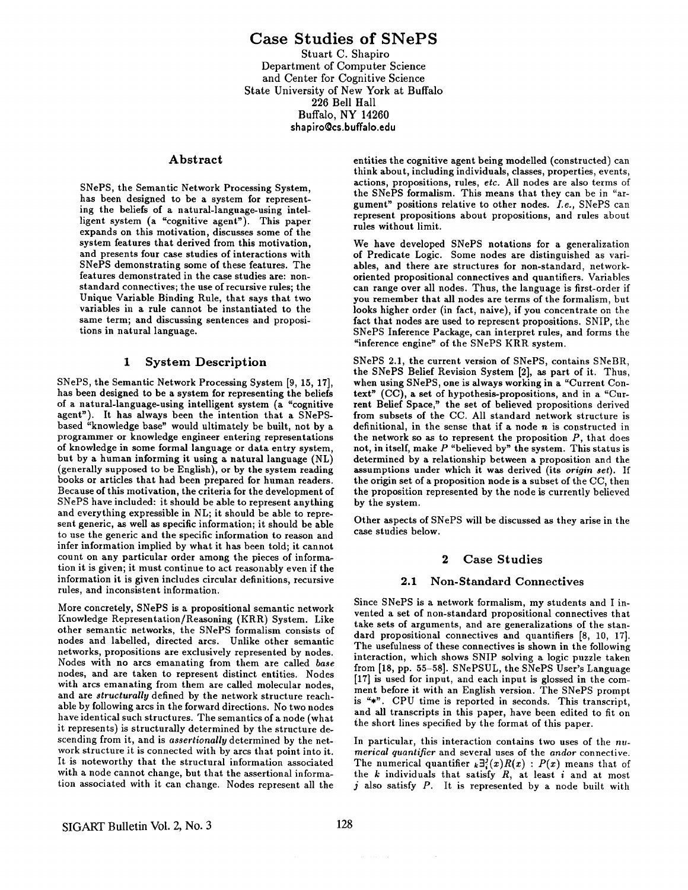# **Case Studies of SNePS**

Stuart C. Shapiro Department of Computer Science and Center for Cognitive Science State University of New York at Buffalo 226 Bell Hall Buffalo, NY 14260 shapiro@cs.buffalo.edu

# Abstract

SNePS, the Semantic Network Processing System, has been designed to be a system for representing the beliefs of a natural-language-using intelligent system (a "cognitive agent"). This paper expands on this motivation, discusses some of the system features that derived from this motivation, and presents four case studies of interactions with SNePS demonstrating some of these features. The features demonstrated in the case studies are: nonstandard connectives; the use of recursive rules; the Unique Variable Binding Rule, that says that two variables in a rule cannot be instantiated to the same term; and discussing sentences and propositions in natural language.

# 1 System Description

SNePS, the Semantic Network Processing System [9, 15, 17], has been designed to be a system for representing the beliefs of a natural-language-using intelligent system (a "cognitive agent"). It has always been the intention that a SNePSbased "knowledge base" would ultimately be built, not by a programmer or knowledge engineer entering representations of knowledge in some formal language or data entry system, but by a human informing it using a natural language (NL) (generally supposed to be English), or by the system reading books or articles that had been prepared for human readers. Because of this motivation, the criteria for the development of SNePS have included: it should be able to represent anything and everything expressible in NL; it should be able to represent generic, as well as specific information; it should be able to use the generic and the specific information to reason and infer information implied by what it has been told; it cannot count on any particular order among the pieces of information it is given; it must continue to act reasonably even if the information it is given includes circular definitions, recursive rules, and inconsistent information.

More concretely, SNePS is a propositional semantic network Knowledge Representation/Reasoning (KRR) System. Like other semantic networks, the SNePS formalism consists of nodes and labelled, directed arcs. Unlike other semantic networks, propositions are exclusively represented by nodes. Nodes with no arcs emanating from them are called *base*  nodes, and are taken to represent distinct entities. Nodes with arcs emanating from them are called molecular nodes, and are *structurally* defined by the network structure reachable by following arcs in the forward directions. No two nodes have identical such structures. The semantics of a node (what it represents) is structurally determined by the structure descending from it, and is *assertionally* determined by the network structure it is connected with by arcs that point into it. It is noteworthy that the structural information associated with a node cannot change, but that the assertional information associated with it can change. Nodes represent all the entities the cognitive agent being modelled (constructed) can think about, including individuals, classes, properties, events, actions, propositions, rules, *etc.* All nodes are also terms of the SNePS formalism. This means that they can be in "argument" positions relative to other nodes. *Le.,* SNePS can represent propositions about propositions, and rules about rules without limit.

We have developed SNePS notations for a generalization of Predicate Logic. Some nodes are distinguished as variables, and there are structures for non-standard, networkoriented propositional connectives and quantifiers. Variables can range over all nodes. Thus, the language is first-order if you remember that all nodes are terms of the formalism, but looks higher order (in fact, naive), if you concentrate on the fact that nodes are used to represent propositions. SNIP, the SNePS Inference Package, can interpret rules, and forms the "inference engine" of the SNePS KRR system.

SNePS 2.1, the current version of SNePS, contains SNeBR, the SNePS Belief Revision System [2], as part of it. Thus, when using SNePS, one is always working in a "Current Context" (CC), a set of hypothesis-propositions, and in a "Current Belief Space," the set of believed propositions derived from subsets of the CC. All standard network structure is definitional, in the sense that if a node  $n$  is constructed in the network so as to represent the proposition  $P$ , that does not, in itself, make  $P$  "believed by" the system. This status is determined by a relationship between a proposition and the assumptions under which it was derived (its *origin set).* If the origin set of a proposition node is a subset of the CC, then the proposition represented by the node is currently believed by the system.

Other aspects of SNePS will be discussed as they arise in the case studies below.

# 2 Case Studies

#### 2.1 Non-Standard Connectives

Since SNePS is a network formalism, my students and I invented a set of non-standard propositional connectives that take sets of arguments, and are generalizations of the standard propositional connectives and quantifiers [8, 10, 17]. The usefulness of these connectives is shown in the following interaction, which shows SNIP solving a logic puzzle taken from [18, pp. 55-58]. SNePSUL, the SNePS User's Language [17] is used for input, and each input is glossed in the comment before it with an English version. The SNePS prompt is *"\*'.* CPU time is reported in seconds. This transcript, and all transcripts in this paper, have been edited to fit on the short lines specified by the format of this paper.

In particular, this interaction contains two uses of the nu*merical quantifier* and several uses of the *andor* connective. The numerical quantifier  $_k \exists_i^j(x) R(x) : P(x)$  means that of the  $k$  individuals that satisfy  $R$ , at least  $i$  and at most  $j$  also satisfy  $P$ . It is represented by a node built with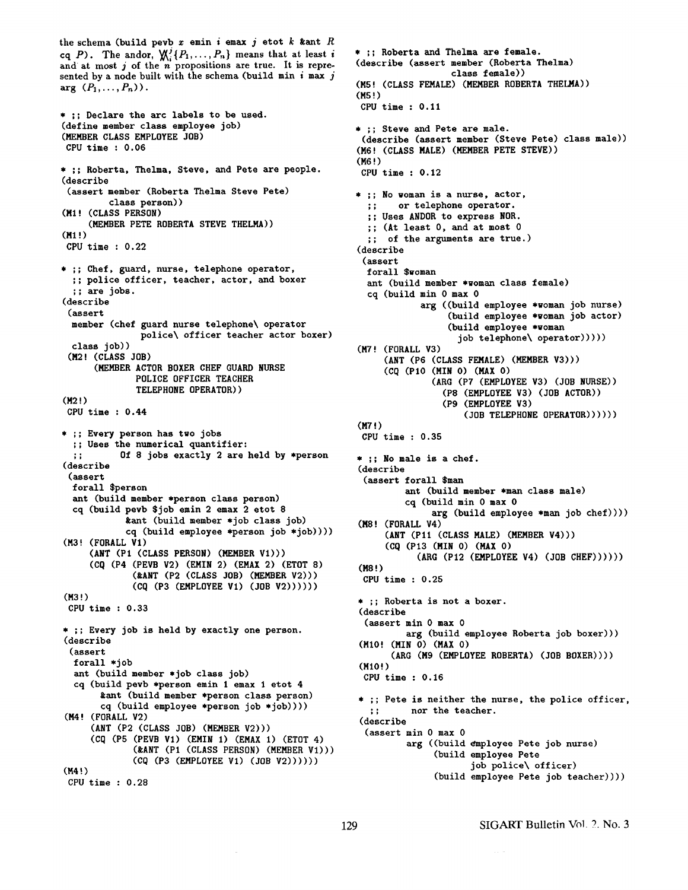the schema (build pevb  $x$  emin i emax  $j$  etot  $k$  & ant  $R$ cq P). The andor,  $\bigvee_{i=1}^{j} \{P_1, \ldots, P_n\}$  means that at least i and at most  $j$  of the n propositions are true. It is represented by a node built with the schema (build min  $\imath$  max  $\jmath$ arg  $(P_1, ..., P_n)$ . \* ;; Declare the arc labels to be used. (define member class employee job) (MEMBER CLASS EMPLOYEE JOB) CPU time : 0.06 \* ;; Roberta, Thelma, Steve, and Pete are people. (describe (assert member (Roberta Thelma Steve Pete) class person)) (MI! (CLASS PERSON) (MEMBER PETE ROBERTA STEVE THELMA))  $(M11)$ CPU time : 0.22 \* ;; Chef, guard, nurse, telephone operator, ;; police officer, teacher, actor, and boxer ;; are jobs. (describe (assert member (chef guard nurse telephone\ operator police\ officer teacher actor boxer) class job)) (M2! (CLASS JOB) (MEMBER ACTOR BOXER CHEF GUARD NURSE POLICE OFFICER TEACHER TELEPHONE OPERATOR)) (M2!) CPU time : 0.44 \* ;; Every person has two jobs ;; Uses the numerical quantifier: ;; Of 8 jobs exactly 2 are held by \*person (describe (assert forall Sperson ant (build member \*person class person) cq (build pevb Sjob emin 2 emax 2 etot 8 &ant (build member \*job class job) cq (build employee \*person job \*job)))) (M3! (FORALL VI) (ANT (PI (CLASS PERSON) (MEMBER VI))) (CQ (P4 (PEVB V2) (EMIN 2) (EMAX 2) (ETOT 8) (&ANT (P2 (CLASS JOB) (MEMBER V2))) (CO (P3 (EMPLOYEE VI) (JOB V2)))))) (M3!) CPU time : 0.33 \* ;; Every job is held by exactly one person. (describe (assert forall \*job ant (build member \*job class job) cq (build pevb \*person emin I emax 1 etot 4 &ant (build member \*person class person) cq (build employee \*person job \*job)))) (M4! (FORALL V2) (ANT (P2 (CLASS JOB) (MEMBER V2))) (CQ (P5 (PEVB VI) (EMIN I) (EMAX I) (ETOT 4) (&ANT (P1 (CLASS PERSON) (MEMBER V1))) (CQ (P3 (EMPLOYEE V1) (JOB V2))))))  $(M4!)$ CPU time : 0.28

\* ;; Roberta and Thelma are female. (describe (assert member (Roberta Thelma) class female)) (M5! (CLASS FEMALE) (MEMBER ROBERTA THELMA))  $(M5!)$ CPU time : 0.11 \* ;; Steve and Pete are male. (describe (assert member (Steve Pete) class male)) (M6! (CLASS MALE) (MEMBER PETE STEVE))  $(M6!)$ CPU time : 0.12 \* ;; No woman is a nurse, actor, ;; or telephone operator. ;; Uses ANDOR to express NOR. ;; (At least O, and at most 0 ;; of the arguments are true.) (describe (assert forall Swoman ant (build member \*woman class female) cq (build min 0 max 0 arg ((build employee \*woman job nurse) (build employee \*woman job actor) (build employee \*woman job telephone\ operator))))) (MT! (FORALL V3) (ANT (P6 (CLASS FEMALE) (MEMBER V3))) (CQ (PIO (MIN O) (MAX O) (ARG (P7 (EMPLOYEE V3) (JOB NURSE)) (P8 (EMPLOYEE V3) (JOB ACTOR)) (P9 (EMPLOYEE V3) (JOB TELEPHONE OPERATOR))))))  $(M7+)$ CPU time : 0.35 \* ;; No male is a chef. (describe (assert forall \$man ant (build member \*man class male) cq (build min 0 max 0 arg (build employee \*man job chef)))) (M8! (FORALL V4) (ANT (PII (CLASS MALE) (MEMBER V4))) (CO (P13 (MIN O) (MAX **O)**   $(ARG (P12 (EMPLOYEE V4) (JOB CHEF))))$  $(MR+)$ CPU time : 0.25 \* ;; Roberta is not a boxer. (describe (assert min 0 max 0 arg (build employee Roberta job boxer))) (MIO~ (MIN O) (MAX **O)**  (ARO (M9 (EMPLOYEE ROBERTA) (JOB BOXER)))) (MIO!) CPU time : 0.16 \* ;; Pete is neither the nurse, the police officer, ;; nor the teacher. (describe (assert min 0 max 0 arg ((build employee Pete job nurse) (build employee Pete job police\ officer)

(build employee Pete job teacher))))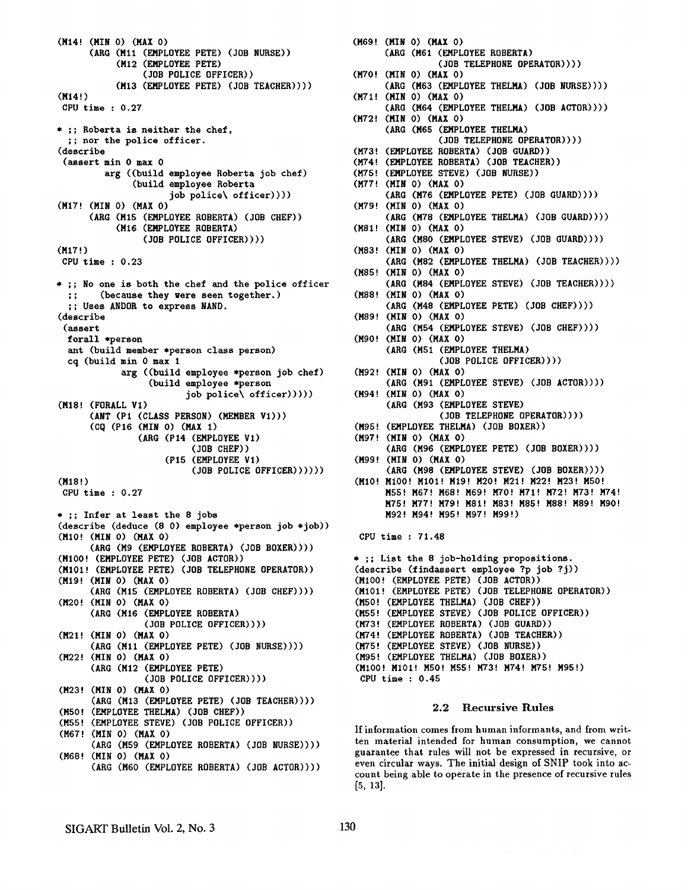(M14! (MIN O) (MAX O) (ARG (MII (EMPLOYEE PETE) (JOB NURSE)) (M12 (EMPLOYEE PETE) (JOB POLICE OFFICER)) (M13 (EMPLOYEE PETE) (JOB TEACHER)))) (M14!) CPU time : 0.27 \* ;; Roberta is neither the chef, ;; nor the police officer. (describe (assert min 0 max 0 arg ((build employee Roberta job chef) (build employee Roberta job police\ officer)))) (M17! (MIN O) (MAX O) (ARG (M15 (EMPLOYEE ROBERTA) (JOB CHEF)) (M16 (EMPLOYEE ROBERTA) (JOB POLICE OFFICER)))) (Mi7!) CPU time : 0.23 \* ;; No one is both the chef and the police officer ;; (because they were seen together.) ;; Uses ANDOR to express NAND. (describe (assert forall \*person ant (build member \*person class person) cq (build min 0 max 1 arg ((build employee \*person job chef) (build employee \*person job police\ officer))))) (MI8! (FORALL VI) (ANT (P1 (CLASS PERSON) (MEMBER V1))) (CQ (P16 (MIN O) (MAX 1) (ARG (P14 (EMPLOYEE V1) (JOB CHEF)) (P15 (EMPLOYEE V1) (JOB POLICE OFFICER)))))) (MI8!) CPU time : 0.27 \* ;; Infer at least the 8 jobs (describe (deduce (8 O) employee \*person job \*job)) (MiO! (MIN O) (MAX O) (AHG (M9 (EMPLOYEE ROBERTA) (JOB BOXER)))) (MIO0! (EMPLOYEE PETE) (JOB ACTOR)) (MIOI! (EMPLOYEE PETE) (JOB TELEPHONE OPERATOR)) (Mig! (MIN O) (MAX O) (ARG (M15 (EMPLOYEE ROBERTA) (JOB CHEF)))) (M20! (MIN O) (MAX O) (ARG (M16 (EMPLOYEE ROBERTA) (JOB POLICE OFFICER)))) (M21! (MIN O) (MAX O) (ARG (Mll (EMPLOYEE PETE) (JOB NURSE)))) (M22! (MIN O) (MAX O) (ARG (MI2 (EMPLOYEE PETE) (JOB POLICE OFFICER)))) (M23! (MIN O) (MAX O) (ARG (Mi3 (EMPLOYEE PETE) (JOB TEACHER)))) (M50! (EMPLOYEE THELMA) (JOB CHEF)) (M55! (EMPLOYEE STEVE) (JOB POLICE OFFICER)) (M67! (MIN 0) (MAX 0) (ARG (M59 (EMPLOYEE ROBERTA) (JOB NURSE)))) (M68! (MIN O) (MAX O) (ARG (M60 (EMPLOYEE ROBERTA) (JOB ACTOR))))

(M69! (MIN O) (MAX O) (ARG (M61 (EMPLOYEE ROBERTA) (JOB TELEPHONE OPERATOR)))) (M7ot (MIN 0) (MAX o) (ARG (M63 (EMPLOYEE THELMA) (JOB NURSE)))) (MTI! (MIN O) (MAX O) (ARO (M64 (EMPLOYEE THELMA) (JOB ACTOR)))) (M72! (MIN O) (MAX O) (ARG (M65 (EMPLOYEE THELMA) (JOB TELEPHONE OPERATOR)))) (M731 (EMPLOYEE ROBERTA) (JOB GUARD)) (M74! (EMPLOYEE ROBERTA) (JOB TEACHER)) (M75! (EMPLOYEE STEVE) (JOB NURSE)) *(M77!* (MIN O) (MAX O) (ARG (M76 (EMPLOYEE PETE) (JOB GUARD)))) (M79! (MIN O) (MAX O) (ARG (M78 (EMPLOYEE THELMA) (JOB GUARD)))) (MS1! (MIN O) (MAX **O)**  (ARG (M80 (EMPLOYEE STEVE) (JOB GUARD)))) (M83! (MIN O) (MAX O) (ARG (M82 (EMPLOYEE THELMA) (JOB TEACHER)))) (ME5~ **(KIN o) (MAX 0)**  (ARG (MR4 (EMPLOYEE STEVE) (JOB TEACHER)))) (M88! (MIN O) (MAX O) (ARG (M48 (EMPLOYEE PETE) (JOB CHEF)))) (M89! (MIN O) (MAX O) (ARG (M54 (EMPLOYEE STEVE) (JOB CHEF)))) (M90! (MIN O) (MAX O) (ARG (MS1 (EMPLOYEE THELMA) (JOB POLICE OFFICER)))) (M92! (MIN 0) (MAX 0) (ARG (M91 (EMPLOYEE STEVE) (JOB ACTOR)))) (M94! (MIN O) (MAX O) (ARG (M93 (EMPLOYEE STEVE) (JOB TELEPHONE OPERATOR)))) (M95! (EMPLOYEE THELMA) (JOB BOXER)) (M97! (MIN O) (MAX O) (ARG (M96 (EMPLOYEE PETE) (JOB BOXER)))) (M99! (MIN 0) (MAX 0) (ARG (M98 (EMPLOYEE STEVE) (JOB BOXER)))) (MIO! MIO0! MIOI! MI9! M20! M21! M22! M23! M50! M55! M67! M68! M69! M70! M71! M72! M73! M74! M75! M77! M79! M81! M83! M85! M88! M89! M90! M92! M94! M95! M97! M99!) CPU time : 71.48 \* ;; List the 8 job-holding propositions. (describe (findassert employee ?p job ?j)) (MiO0! (EMPLOYEE PETE) (JOB ACTOR)) (MIOi! (EMPLOYEE PETE) (JOB TELEPHONE OPERATOR)) (M50! (EMPLOYEE THELMA) (JOB CHEF)) (M55! (EMPLOYEE STEVE) (JOB POLICE OFFICER)) (M73! (EMPLOYEE ROBERTA) (JOB GUARD)) (M74! (EMPLOYEE ROBERTA) (JOB TEACHER)) (M75! (EMPLOYEE STEVE) (JOB NURSE)) (M95! (EMPLOYEE THELMA) (JOB BOXER)) (MlO0! MlOl! MS0! M55! M73! M74! M75! M95!) CPU time : 0.45

# 2.2 Recursive Rules

If information comes from human informants, and from written material intended for human consumption, we cannot guarantee that rules will not be expressed in recursive, or even circular ways. The initial design of SNIP took into account being able to operate in the presence of recursive rules [5, 13].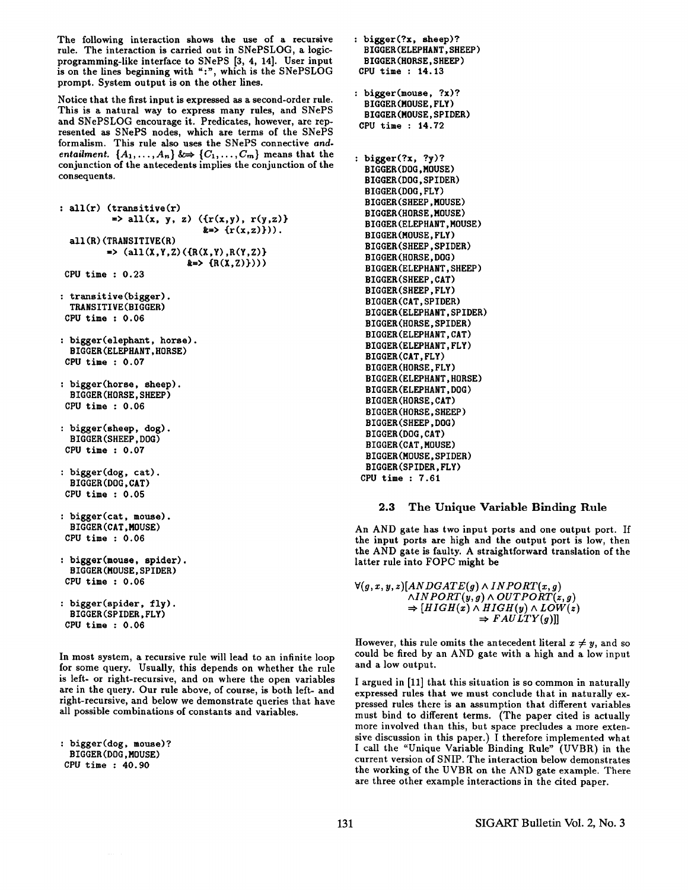The following interaction shows the use of a recursive rule. The interaction is carried out in SNePSLOG, a logicprogramming-like interface to SNePS [3, 4, 14]. User input is on the lines beginning with ":", which is the SNePSLOG prompt. System output is on the other lines.

Notice that the first input is expressed as a second-order rule. This is a natural way to express many rules, and SNePS and SNePSLOG encourage it. Predicates, however, are represented as SNePS nodes, which are terms of the SNePS formalism. This rule also uses the SNePS connective *and. entailment.*  $\{A_1, \ldots, A_n\}$  &  $\Rightarrow$   $\{C_1, \ldots, C_m\}$  means that the conjunction of the antecedents implies the conjunction of the consequents.

```
: all(r) (transitive(r) 
           \Rightarrow all(x, y, z) ({r(x,y), r(y,z)}
                               k = > (r(x,z)).
  ali(R)(TRANSITIVE(R) 
          \Rightarrow (all(X,Y,Z)({R(X,Y),R(Y,Z)}
                           k = > (R(X,Z))))CPU time : 0.23
```

```
: transitive(bigger). 
 TRANSITIVE(BIGGER) 
CPU time : 0.06
```

```
: bigger(elephant, horse). 
 BIGGER(ELEPHANT,HORSE) 
CPU time : 0.07
```

```
: bigger(horse, sheep). 
 BIGGER(HORSE,SHEEP) 
 CPU time : 0.06
```

```
: bigger(sheep, dog). 
 BIGGER(SHEEP,DOG) 
 CPU time : 0.07
```

```
: bigger(dog, cat). 
 BIGGER(DOG,CAT) 
CPU time : 0.05
```

```
: bigger(cat, mouse). 
 BIGGER(CAT,MOUSE) 
CPU time : 0.06
```

```
: bigger(mouse, spider). 
 BIGGER(MOUSE,SPIDER) 
CPU time : 0.06
```

```
: bigger(spider, fly). 
 BIGGER(SPIDER,FLY) 
CPU time : 0.06
```
In most system, a recursive rule will lead to an infinite loop for some query. Usually, this depends on whether the rule is left- or right-recursive, and on where the open variables are in the query. Our rule above, of course, is both left- and right-recursive, and below we demonstrate queries that have all possible combinations of constants and variables.

```
: bigger(dog, mouse)? 
 BIGGER(DOG,MOUSE) 
 CPU time : 40.90
```
: bigger(?x, sheep)? BIGGER(ELEPHANT,SHEEP) BIGGER(HORSE,SHEEP) CPU time : 14.13

```
: bigger(mouse, ?x)? 
  BIGGER(MOUSE,FLY) 
  BIGGER(MOUSE,SPIDER) 
 CPU time : 14.72
```
bigger(?x, ?y)? BIGGER(DOG,MOUSE) BIGGER(DOG,SPIDER) BIGGER(DOG,FLY) BIGGER(SHEEP,MOUSE) BIGGER(HORSE,MOUSE) BIGGER(ELEPHANT,MOUSE) BIGGER(MOUSE,FLY) BIGGER(SHEEP,SPIDER) BIGGER(HORSE,DOG) BIGGER(ELEPHANT, SHEEP) BIGGER(SHEEP,CAT) BIGGER(SHEEP,FLY) BIGGER(CAT,SPIDER) BIGGER(ELEPHANT,SPIDER) BIGGER(HORSE,SPIDER) BIGGER(ELEPHANT,CAT) BIGGER(ELEPHANT,FLY) BIGGER(CAT,FLY) BIGGER(HORSE,FLY) BIGGER(ELEPHANT,HORSE) BIGGER(ELEPHANT,DOG) BIGGER(HORSE,CAT) BIGGER(HORSE,SHEEP) BIGGER(SHEEP,DOG) BIGGER(DOG,CAT) BIGGER(CAT,MOUSE) BIGGER(MOUSE,SPIDER) BIGGER(SPIDER,FLY) CPU time : 7.61

# 2.3 The Unique Variable Binding Rule

An AND gate has two input ports and one output port. If the input ports are high and the output port is low, then the AND gate is faulty. A straightforward translation of the latter rule into FOPC might be

```
\forall (g, x, y, z) [ANDGATE(g) \wedge INPORT(x, g)]\overline{A}AINPORT(y, g) \wedge OUTPORT(z, g)\Rightarrow [HIGH(x) \land HIGH(y) \land LOW(z)
                                 \Rightarrow FAULTY(g)]]
```
However, this rule omits the antecedent literal  $x \neq y$ , and so could be fired by an AND gate with a high and a low input and a low output.

I argued in [11] that this situation is so common in naturally expressed rules that we must conclude that in naturally expressed rules there is an assumption that different variables must bind to different terms. (The paper cited is actually more involved than this, but space precludes a more extensive discussion in this paper.) I therefore implemented what I call the "Unique Variable Binding Rule" (UVBR) in the current version of SNIP. The interaction below demonstrates the working of the UVBR on the AND gate example. There are three other example interactions in the cited paper.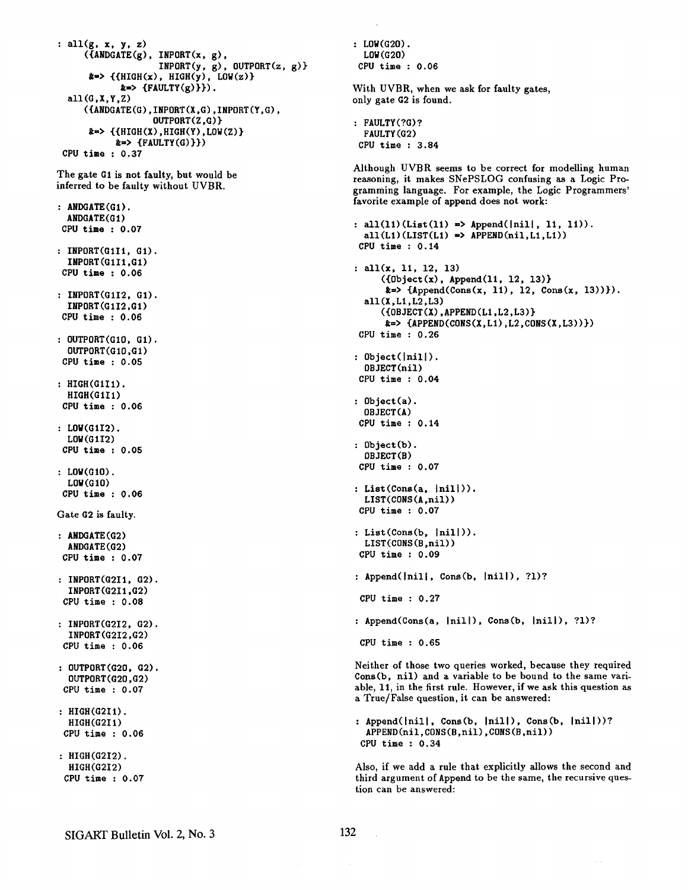```
: all(g, x, y, z) 
      (\texttt{ANDGATE}(g), \texttt{INPORT}(x, g),INPORT(y, g), OUTPORT(z, g)}
       x \rightarrow \{ (HIGH(x), HIGH(y), LOW(z) }
             k = > {FAULTY(g)}.
  all(G, X, Y, Z)({ANDGATE(G),INPORT(X,G),INPORT(Y,G), 
                    OUTPORT(Z,G)} 
       x \Rightarrow {{HIGH(X), HIGH(Y), LOW(Z)}
            x = > {FAULTY(G)}})
 CPU time : 0.37 
The gate G1 is not faulty, but would be
inferred to be faulty without UVBR. 
: ANDGATE(GI). 
  ANDGATE(GI) 
 ePu time : 0.07 
: INPORT(GII1, Ol). 
  INPORT(G1I1,G1)CPU time : 0.06 
: INPORT(G1I2, G1).
  INPORT(GII2,OI) 
 CPU time : 0.06 
: OUTPORT(G10, G1).
  OUTPORT(GIO,GI) 
 CPU time : 0.05 
: HIGH(GIII). 
  HIGH(GII1) 
 CPU time : 0.06 
: LOW(OlI2). 
  LOW(GII2) 
 OPU time : 0.05 
: LOW(GIO). 
  LOW(GIO) 
 CPU time : 0.06 
Gate G2 is faulty. 
: ANDGATE(G2) 
  ANDGATE(G2) 
 CPU time : 0.07 
: INPORT(G2II, O2). 
  INPORT(G2II,G2) 
 CPU time : 0.08 
: INPORT(G212, O2). 
  INPORT(G212,G2) 
 CPU time : 0.06 
: OUTPORT(G20, O2). 
  OUTPORT(G20,G2) 
 CPU time : 0.07 
: HIGH(G2II). 
  HIGH(G2II) 
 CPU time : 0.06 
: HIGH(G212). 
  HIGH(G212) 
 CPU time : 0.07
```

```
: LOW(G20). 
  LOW(G20) 
 CPU time : 0.06 
With UVBR, when we ask for faulty gates, 
only gate G2 is found. 
: FAULTY(?G)? 
  FAULTY(G2) 
 CPU time : 3.84 
Although UVBR seems to be correct for modelling human 
reasoning, it makes SNePSLOG confusing as a Logic Pro-
gramming language. For example, the Logic Programmers' 
favorite example of append does not work: 
: all(11)(List(11) => Append(|nil|, 11, 11)).
  all(L1)(LIST(L1) => APPEND(ni1, L1, L1))CPU time : 0.14 
: all(x, 11, 12, 13) 
      ({0bject(x), Append(ll, 12, 13)} 
      k=> {Append(Cons(x, 11), 12, Cons(x, 13))}). 
  ali(X,L1,L2,L3) 
      ({OBJECT(X),APPEND(L1,L2,L3)} 
      x \Rightarrow {APPEND(CONS(X,L1),L2,CONS(X,L3))})
 CPU time : 0.26 
: Object(Inill). 
  OBJECT(nil) 
 CPU time : 0.04 
: Object(a). 
  OBJECT(A) 
 CPU time : 0.14 
: 0bject(b). 
  OBJECT(B) 
 CPU time : 0.07 
: List(Cons(a, Inill)). 
  LIST(CONS(A,nil)) 
 CPU time : 0.07 
: List(Cons(b, Inill)). 
  LIST(CONS(B,nil)) 
 CPU time : 0.09 
: Append(lnill, Cons(b, Inill), ?1)? 
 CPU time : 0.27 
: Append(Cons(a, Inill), Cons(b, Inill), ?1)? 
 CPU time : 0.65 
Neither of those two queries worked, because they required 
Cons(b, nil) and a variable to be bound to the same vari-
able, 11, in the first rule. However, if we ask this question as 
a True/False question, it can be answered: 
: Append([nil], Cons(b, [nil]), Cons(b, [nil]))?
  APPEND(nii,CONS(B,nil),CONS(B,nil)) 
 CPU time : 0.34
```
Also, if we add a rule that explicitly allows the second and third argument of Append to be the same, the recursive question can be answered:

 $\sim$   $\sim$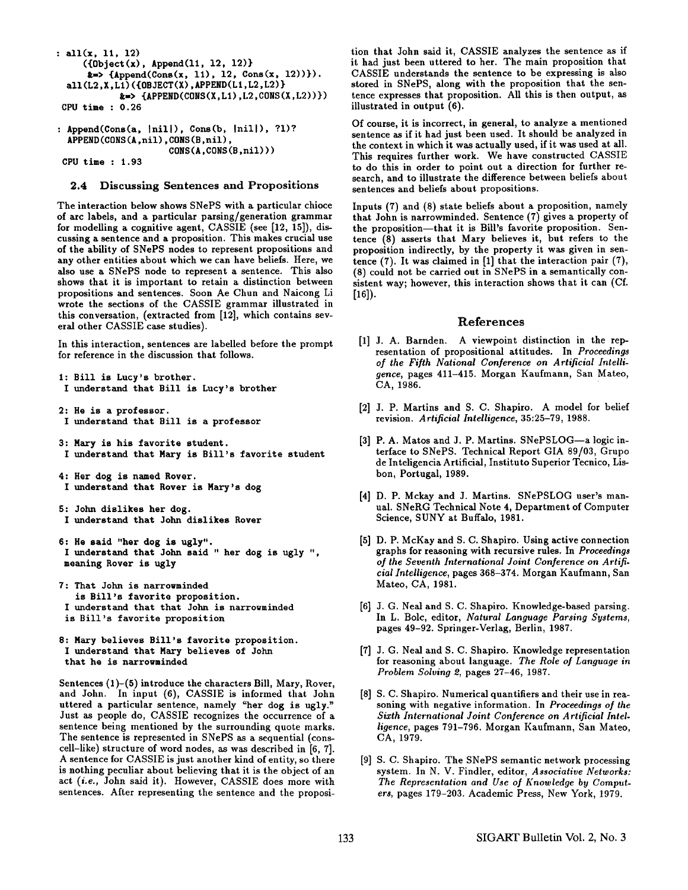```
: all(x, 11, 12) 
     ({0bject(x), Append(ll, 12, 12)} 
      x \mapsto {\text{Append}(Cons(x, 11), 12, Cons(x, 12))}.alI(L2,X,LI)({OBJECT(X),APPEND(LI,L2,L2)} 
              x \rightarrow \{APPEND(CONS(X, L1), L2, CONS(X, L2))\})CPU time : 0.26
```

```
: Append(Cons(a, Inill), Cons(b, Inill), ?1)? 
 APPEND(CONS(A,nil),CONS(B,nil), 
                     CONS(A, CONS(B, nil)))
```
CPU time : 1.93

#### 2.4 Discussing Sentences and Propositions

The interaction below shows SNePS with a particular chioce of arc labels, and a particular parsing/generation grammar for modelling a cognitive agent, CASSIE (see [12, 15]), discussing a sentence and a proposition. This makes crucial use of the ability of SNePS nodes to represent propositions and any other entities about which we can have beliefs. Here, we also use a SNePS node to represent a sentence. This also shows that it is important to retain a distinction between propositions and sentences. Soon Ae Chun and Nalcong Li wrote the sections of the CASSIE grammar illustrated in this conversation, (extracted from [12], which contains several other CASSIE case studies).

In this interaction, sentences are labelled before the prompt for reference in the discussion that follows.

```
I: Bill is Lucy's brother. 
I understand that Bill is Lucy's brother
```
- 2: He is a professor. I understand that Bill is a **professor**
- 3: Mary is his favorite student. I understand that Mary is Bill's favorite student
- **4: Her dog is named Rover. I understand that Rover is Mary's dog**
- 5: John **dislikes her dog.**  I understand that John dislikes **Rover**
- **6: He said "her dog is ugly".**  I understand that John said " her dog is ugly ", meaning Rover is ugly
- 7: That John is narrovminded is Bill's favorite proposition. I understand that that John is narrowminded is Bill's favorite proposition
- **8:** Mary believes Bill's favorite proposition. I understand that Mary believes of John that he is narrowminded

Sentences (1)-(5) introduce the characters Bill, Mary, Rover, and John. In input (6), CASSIE is informed that John uttered a particular sentence, namely "her dog is ugly." Just as people do, CASSIE recognizes the occurrence of a sentence being mentioned by the surrounding quote marks. The sentence is represented in SNePS as a sequential (conscell-like) structure of word nodes, as was described in [6, 7]. A sentence for CASSIE is just another kind of entity, so there is nothing peculiar about believing that it is the object of an act *(i.e.,* John said it). However, CASSIE does more with sentences. After representing the sentence and the proposition that John said it, CASSIE analyzes the sentence as if it had just been uttered to her. The main proposition that CASSIE understands the sentence to be expressing is also stored in SNePS, along with the proposition that the sentence expresses that proposition. All this is then output, as illustrated in output (6).

Of course, it is incorrect, in general, to analyze a mentioned sentence as if it had just been used. It should be analyzed in the context in which it was actually used, if it was used at all. This requires further work. We have constructed CASSIE to do this in order to point out a direction for further research, and to illustrate the difference between beliefs about sentences and beliefs about propositions.

Inputs (7) and (8) state beliefs about a proposition, namely that John is narrowminded. Sentence (7) gives a property of the proposition-that it is Bill's favorite proposition. Sentence (8) asserts that Mary believes it, but refers to the proposition indirectly, by the property it was given in sentence (7). It was claimed in [1] that the interaction pair (7), (8) could not be carried out in SNePS in a semantically consistent way; however, this interaction shows that it can (Cf. [16]).

# References

- [1] J. A. Barnden. A viewpoint distinction in the representation of propositional attitudes. In *Proceedings of the Fifth National Conference on Artificial Intelligence,* pages 411-415. Morgan Kaufmann, San Mates, CA, 1986.
- **[2]**  J. P. Martins and S. C. Shapiro. A model for belief revision. *Artificial Intelligence,* 35:25-79, 1988.
- [3] P. A. Matos and J. P. Martins. SNePSLOG—a logic interface to SNePS. Technical Report GIA 89/03, Grupo de Inteligencia Artificial, Institute Superior Tecnico, Lisbon, Portugal, 1989.
- **[4]**  D. P. Mckay and J. Martins. SNePSLOG user's manual. SNeRG Technical Note 4, Department of Computer Science, SUNY at Buffalo, 1981.
- **[5]**  D. P. McKay and S. C. Shapiro. Using active connection graphs for reasoning with recursive rules. In *Proceedings of the Seventh International Joint Conference on Artificial Intelligence,* pages 368-374. Morgan Kaufmann, San Mates, CA, 1981.
- **[6]**  J. G. Neal and S. C. Shapiro. Knowledge-based parsing. In L. Bolc, editor, *Natural Language Parsing Systems,*  pages 49-92. Springer-Verlag, Berlin, 1987.
- [7] J. G. Neal and S. C. Shapiro. Knowledge representation for reasoning about language. *The Role of Language in Problem Solving 2, pages 27-46, 1987.*
- **[s]**  S. C. Shapiro. Numerical quantifiers and their use in reasoning with negative information. In *Proceedings of the Sixth International Joint Conference on Artificial Intelligence,* pages 791-796. Morgan Kaufmann, San Mates, CA, 1979.
- **[9]** S. C. Shapiro. The SNePS semantic network processing system. In N. V. Findler, editor, *Associative Networks: The Representation and Use of Knowledge by Computers,* pages 179-203. Academic Press, New York, 1979.